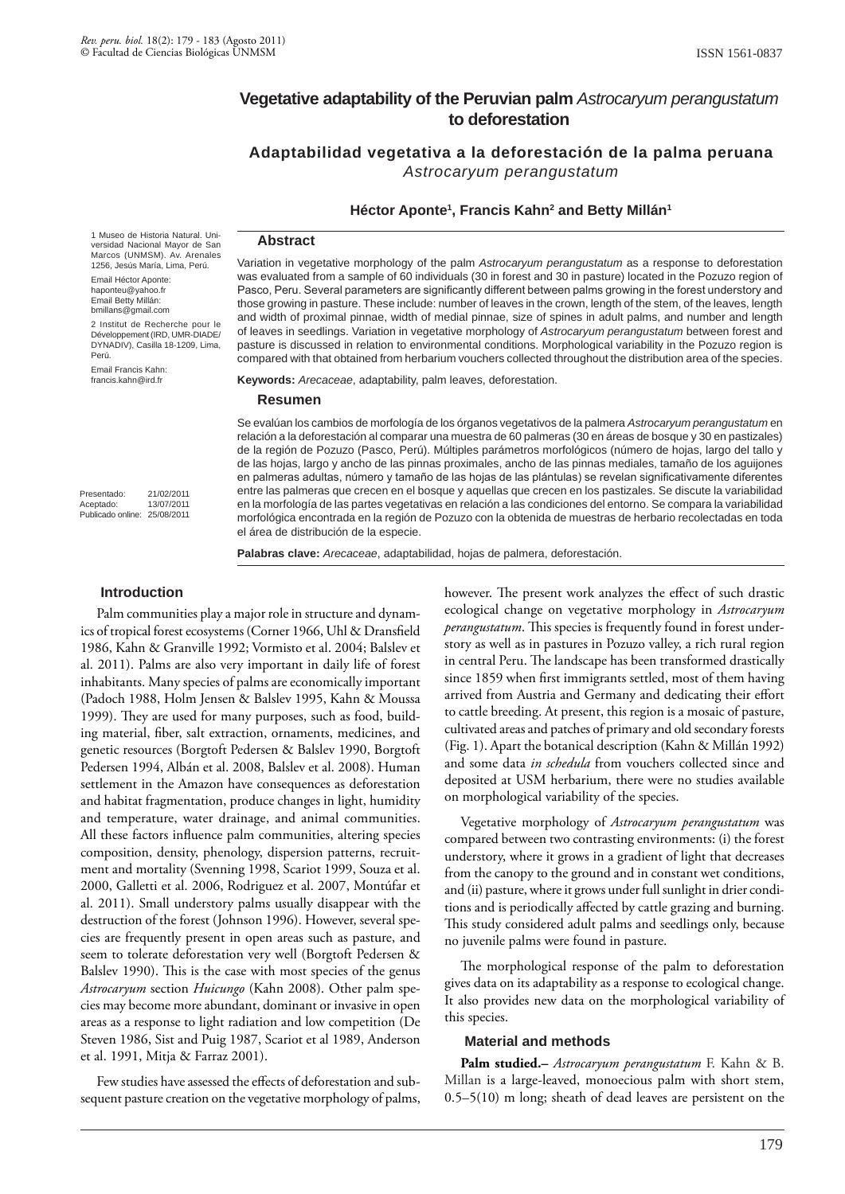# **Vegetative adaptability of the Peruvian palm** *Astrocaryum perangustatum* **to deforestation**

**Adaptabilidad vegetativa a la deforestación de la palma peruana**  *Astrocaryum perangustatum*

# **Héctor Aponte1 , Francis Kahn2 and Betty Millán1**

#### **Abstract**

1 Museo de Historia Natural. Universidad Nacional Mayor de San Marcos (UNMSM). Av. Arenales 1256, Jesús María, Lima, Perú.

Email Héctor Aponte: haponteu@yahoo.fr Email Betty Millán: bmillans@gmail.com

2 Institut de Recherche pour le Développement (IRD, UMR-DIADE/ DYNADIV), Casilla 18-1209, Lima, Perú.

Email Francis Kahn: francis.kahn@ird.fr

Presentado: 21/02/2011<br>Acentado: 13/07/2011 Aceptado: Publicado online: 25/08/2011

Variation in vegetative morphology of the palm *Astrocaryum perangustatum* as a response to deforestation was evaluated from a sample of 60 individuals (30 in forest and 30 in pasture) located in the Pozuzo region of Pasco, Peru. Several parameters are significantly different between palms growing in the forest understory and those growing in pasture. These include: number of leaves in the crown, length of the stem, of the leaves, length and width of proximal pinnae, width of medial pinnae, size of spines in adult palms, and number and length of leaves in seedlings. Variation in vegetative morphology of *Astrocaryum perangustatum* between forest and pasture is discussed in relation to environmental conditions. Morphological variability in the Pozuzo region is compared with that obtained from herbarium vouchers collected throughout the distribution area of the species.

**Keywords:** *Arecaceae*, adaptability, palm leaves, deforestation.

#### **Resumen**

Se evalúan los cambios de morfología de los órganos vegetativos de la palmera *Astrocaryum perangustatum* en relación a la deforestación al comparar una muestra de 60 palmeras (30 en áreas de bosque y 30 en pastizales) de la región de Pozuzo (Pasco, Perú). Múltiples parámetros morfológicos (número de hojas, largo del tallo y de las hojas, largo y ancho de las pinnas proximales, ancho de las pinnas mediales, tamaño de los aguijones en palmeras adultas, número y tamaño de las hojas de las plántulas) se revelan significativamente diferentes entre las palmeras que crecen en el bosque y aquellas que crecen en los pastizales. Se discute la variabilidad en la morfología de las partes vegetativas en relación a las condiciones del entorno. Se compara la variabilidad morfológica encontrada en la región de Pozuzo con la obtenida de muestras de herbario recolectadas en toda el área de distribución de la especie.

**Palabras clave:** *Arecaceae*, adaptabilidad, hojas de palmera, deforestación.

#### **Introduction**

Palm communities play a major role in structure and dynamics of tropical forest ecosystems (Corner 1966, Uhl & Dransfield 1986, Kahn & Granville 1992; Vormisto et al. 2004; Balslev et al. 2011). Palms are also very important in daily life of forest inhabitants. Many species of palms are economically important (Padoch 1988, Holm Jensen & Balslev 1995, Kahn & Moussa 1999). They are used for many purposes, such as food, building material, fiber, salt extraction, ornaments, medicines, and genetic resources (Borgtoft Pedersen & Balslev 1990, Borgtoft Pedersen 1994, Albán et al. 2008, Balslev et al. 2008). Human settlement in the Amazon have consequences as deforestation and habitat fragmentation, produce changes in light, humidity and temperature, water drainage, and animal communities. All these factors influence palm communities, altering species composition, density, phenology, dispersion patterns, recruitment and mortality (Svenning 1998, Scariot 1999, Souza et al. 2000, Galletti et al. 2006, Rodriguez et al. 2007, Montúfar et al. 2011). Small understory palms usually disappear with the destruction of the forest (Johnson 1996). However, several species are frequently present in open areas such as pasture, and seem to tolerate deforestation very well (Borgtoft Pedersen & Balslev 1990). This is the case with most species of the genus *Astrocaryum* section *Huicungo* (Kahn 2008). Other palm species may become more abundant, dominant or invasive in open areas as a response to light radiation and low competition (De Steven 1986, Sist and Puig 1987, Scariot et al 1989, Anderson et al. 1991, Mitja & Farraz 2001).

Few studies have assessed the effects of deforestation and subsequent pasture creation on the vegetative morphology of palms, however. The present work analyzes the effect of such drastic ecological change on vegetative morphology in *Astrocaryum perangustatum*. This species is frequently found in forest understory as well as in pastures in Pozuzo valley, a rich rural region in central Peru. The landscape has been transformed drastically since 1859 when first immigrants settled, most of them having arrived from Austria and Germany and dedicating their effort to cattle breeding. At present, this region is a mosaic of pasture, cultivated areas and patches of primary and old secondary forests (Fig. 1). Apart the botanical description (Kahn & Millán 1992) and some data *in schedula* from vouchers collected since and deposited at USM herbarium, there were no studies available on morphological variability of the species.

Vegetative morphology of *Astrocaryum perangustatum* was compared between two contrasting environments: (i) the forest understory, where it grows in a gradient of light that decreases from the canopy to the ground and in constant wet conditions, and (ii) pasture, where it grows under full sunlight in drier conditions and is periodically affected by cattle grazing and burning. This study considered adult palms and seedlings only, because no juvenile palms were found in pasture.

The morphological response of the palm to deforestation gives data on its adaptability as a response to ecological change. It also provides new data on the morphological variability of this species.

### **Material and methods**

**Palm studied.–** *Astrocaryum perangustatum* F. Kahn & B. Millan is a large-leaved, monoecious palm with short stem, 0.5–5(10) m long; sheath of dead leaves are persistent on the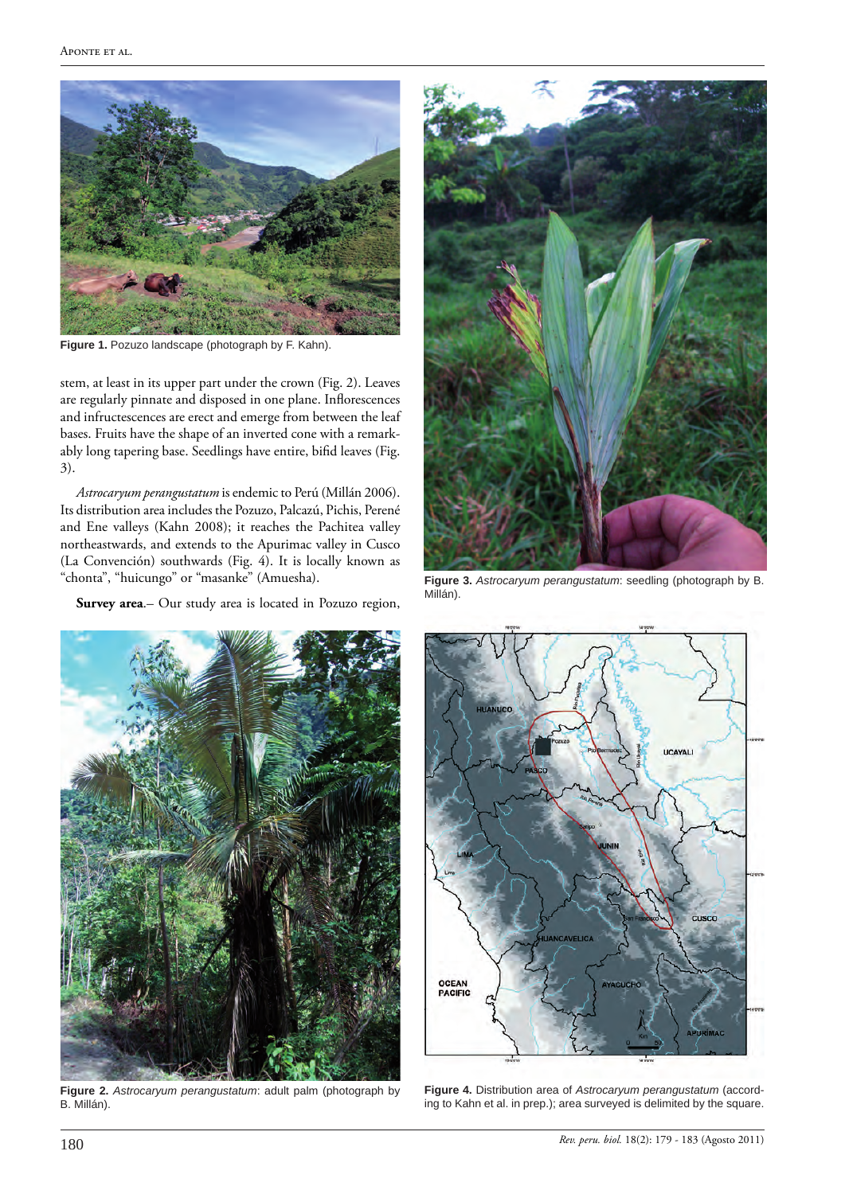

**Figure 1.** Pozuzo landscape (photograph by F. Kahn).

stem, at least in its upper part under the crown (Fig. 2). Leaves are regularly pinnate and disposed in one plane. Inflorescences and infructescences are erect and emerge from between the leaf bases. Fruits have the shape of an inverted cone with a remarkably long tapering base. Seedlings have entire, bifid leaves (Fig. 3).

*Astrocaryum perangustatum* is endemic to Perú (Millán 2006). Its distribution area includes the Pozuzo, Palcazú, Pichis, Perené and Ene valleys (Kahn 2008); it reaches the Pachitea valley northeastwards, and extends to the Apurimac valley in Cusco (La Convención) southwards (Fig. 4). It is locally known as "chonta", "huicungo" or "masanke" (Amuesha).

**Survey area**.– Our study area is located in Pozuzo region,



**Figure 3.** *Astrocaryum perangustatum*: seedling (photograph by B. Millán).



**Figure 2.** *Astrocaryum perangustatum*: adult palm (photograph by B. Millán).



**Figure 4.** Distribution area of *Astrocaryum perangustatum* (according to Kahn et al. in prep.); area surveyed is delimited by the square.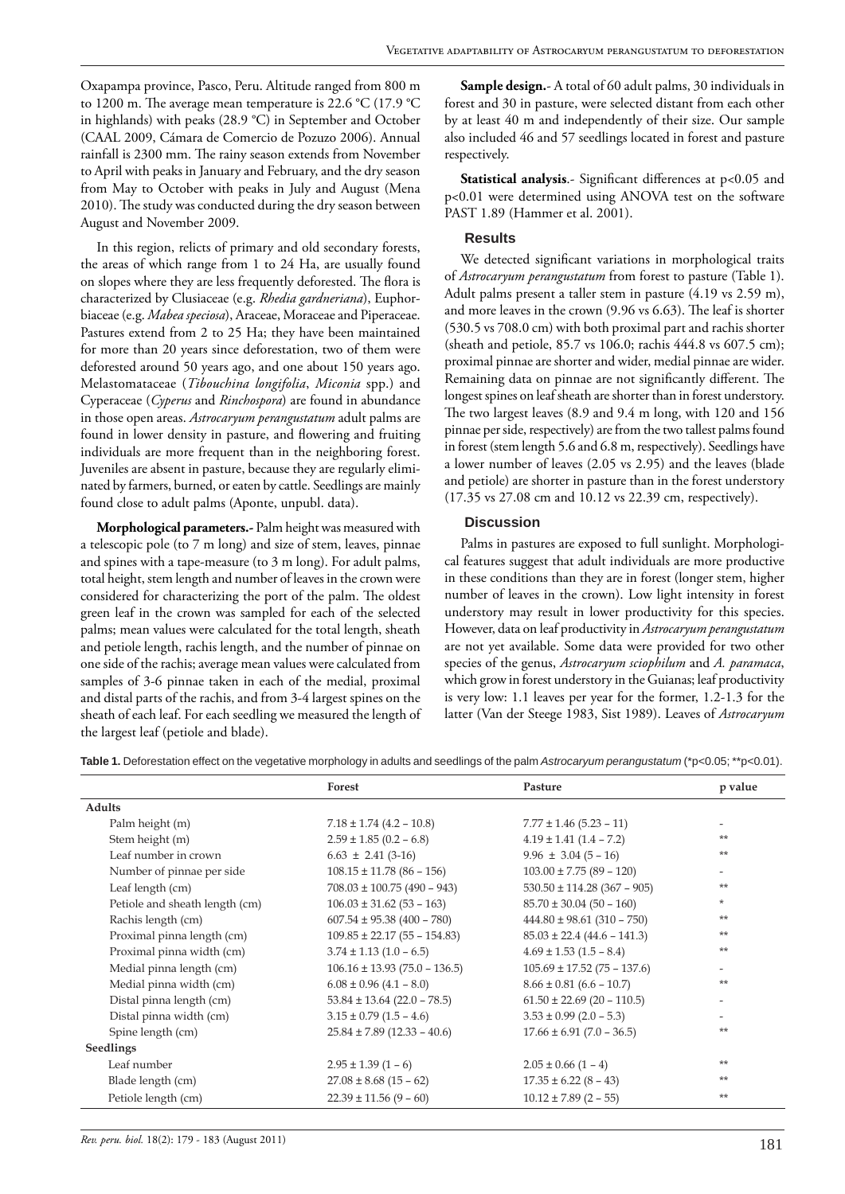Oxapampa province, Pasco, Peru. Altitude ranged from 800 m to 1200 m. The average mean temperature is 22.6 °C (17.9 °C in highlands) with peaks (28.9 °C) in September and October (CAAL 2009, Cámara de Comercio de Pozuzo 2006). Annual rainfall is 2300 mm. The rainy season extends from November to April with peaks in January and February, and the dry season from May to October with peaks in July and August (Mena 2010). The study was conducted during the dry season between August and November 2009.

In this region, relicts of primary and old secondary forests, the areas of which range from 1 to 24 Ha, are usually found on slopes where they are less frequently deforested. The flora is characterized by Clusiaceae (e.g. *Rhedia gardneriana*), Euphorbiaceae (e.g. *Mabea speciosa*), Araceae, Moraceae and Piperaceae. Pastures extend from 2 to 25 Ha; they have been maintained for more than 20 years since deforestation, two of them were deforested around 50 years ago, and one about 150 years ago. Melastomataceae (*Tibouchina longifolia*, *Miconia* spp.) and Cyperaceae (*Cyperus* and *Rinchospora*) are found in abundance in those open areas. *Astrocaryum perangustatum* adult palms are found in lower density in pasture, and flowering and fruiting individuals are more frequent than in the neighboring forest. Juveniles are absent in pasture, because they are regularly eliminated by farmers, burned, or eaten by cattle. Seedlings are mainly found close to adult palms (Aponte, unpubl. data).

**Morphological parameters.-** Palm height was measured with a telescopic pole (to 7 m long) and size of stem, leaves, pinnae and spines with a tape-measure (to 3 m long). For adult palms, total height, stem length and number of leaves in the crown were considered for characterizing the port of the palm. The oldest green leaf in the crown was sampled for each of the selected palms; mean values were calculated for the total length, sheath and petiole length, rachis length, and the number of pinnae on one side of the rachis; average mean values were calculated from samples of 3-6 pinnae taken in each of the medial, proximal and distal parts of the rachis, and from 3-4 largest spines on the sheath of each leaf. For each seedling we measured the length of the largest leaf (petiole and blade).

**Sample design.**- A total of 60 adult palms, 30 individuals in forest and 30 in pasture, were selected distant from each other by at least 40 m and independently of their size. Our sample also included 46 and 57 seedlings located in forest and pasture respectively.

**Statistical analysis.**- Significant differences at p<0.05 and p<0.01 were determined using ANOVA test on the software PAST 1.89 (Hammer et al. 2001).

## **Results**

We detected significant variations in morphological traits of *Astrocaryum perangustatum* from forest to pasture (Table 1). Adult palms present a taller stem in pasture (4.19 vs 2.59 m), and more leaves in the crown (9.96 vs 6.63). The leaf is shorter (530.5 vs 708.0 cm) with both proximal part and rachis shorter (sheath and petiole, 85.7 vs 106.0; rachis 444.8 vs 607.5 cm); proximal pinnae are shorter and wider, medial pinnae are wider. Remaining data on pinnae are not significantly different. The longest spines on leaf sheath are shorter than in forest understory. The two largest leaves (8.9 and 9.4 m long, with 120 and 156 pinnae per side, respectively) are from the two tallest palms found in forest (stem length 5.6 and 6.8 m, respectively). Seedlings have a lower number of leaves (2.05 vs 2.95) and the leaves (blade and petiole) are shorter in pasture than in the forest understory (17.35 vs 27.08 cm and 10.12 vs 22.39 cm, respectively).

## **Discussion**

Palms in pastures are exposed to full sunlight. Morphological features suggest that adult individuals are more productive in these conditions than they are in forest (longer stem, higher number of leaves in the crown). Low light intensity in forest understory may result in lower productivity for this species. However, data on leaf productivity in *Astrocaryum perangustatum* are not yet available. Some data were provided for two other species of the genus, *Astrocaryum sciophilum* and *A. paramaca*, which grow in forest understory in the Guianas; leaf productivity is very low: 1.1 leaves per year for the former, 1.2-1.3 for the latter (Van der Steege 1983, Sist 1989). Leaves of *Astrocaryum* 

**Forest Pasture p value Adults** Palm height (m) 7.18 ± 1.74 (4.2 – 10.8) 7.77 ± 1.46 (5.23 – 11) Stem height (m) 2.59 ± 1.85 (0.2 – 6.8) 4.19 ± 1.41 (1.4 – 7.2)  $*$ Leaf number in crown  $6.63 \pm 2.41 (3-16)$   $9.96 \pm 3.04 (5-16)$  \*\* Number of pinnae per side 108.15 ± 11.78 (86 – 156) 103.00 ± 7.75 (89 – 120) Leaf length (cm) 708.03 ± 100.75 (490 – 943) 530.50 ± 114.28 (367 – 905)  $\star\star$ Petiole and sheath length (cm) 106.03 ± 31.62 (53 – 163) 85.70 ± 30.04 (50 – 160) \* Rachis length (cm) 607.54 ± 95.38 (400 – 780) 444.80 ± 98.61 (310 – 750)  $*$ \* Proximal pinna length (cm) 109.85 ± 22.17 (55 – 154.83) 85.03 ± 22.4 (44.6 – 141.3) \*\* Proximal pinna width (cm)  $3.74 \pm 1.13 (1.0 - 6.5)$   $4.69 \pm 1.53 (1.5 - 8.4)$ Medial pinna length (cm) 106.16 ± 13.93 (75.0 – 136.5) 105.69 ± 17.52 (75 – 137.6) - Medial pinna width (cm) 6.08 ± 0.96 (4.1 – 8.0) 8.66 ± 0.81 (6.6 – 10.7) \*\* Distal pinna length (cm) 53.84 ± 13.64 (22.0 – 78.5) 61.50 ± 22.69 (20 – 110.5) - Distal pinna width (cm)  $3.15 \pm 0.79 (1.5 - 4.6)$   $3.53 \pm 0.99 (2.0 - 5.3)$ Spine length (cm) 25.84 ± 7.89 (12.33 – 40.6) 17.66 ± 6.91 (7.0 – 36.5)  $\star$ **Seedlings** Leaf number 2.95 ± 1.39 (1 – 6) 2.05 ± 0.66 (1 – 4)  $2.95 \pm 0.66$ Blade length (cm)  $27.08 \pm 8.68 (15 - 62)$   $17.35 \pm 6.22 (8 - 43)$  \*\* Petiole length (cm) 22.39 ± 11.56 (9 – 60) 10.12 ± 7.89 (2 – 55) \*\*

**Table 1.** Deforestation effect on the vegetative morphology in adults and seedlings of the palm *Astrocaryum perangustatum* (\*p<0.05; \*\*p<0.01).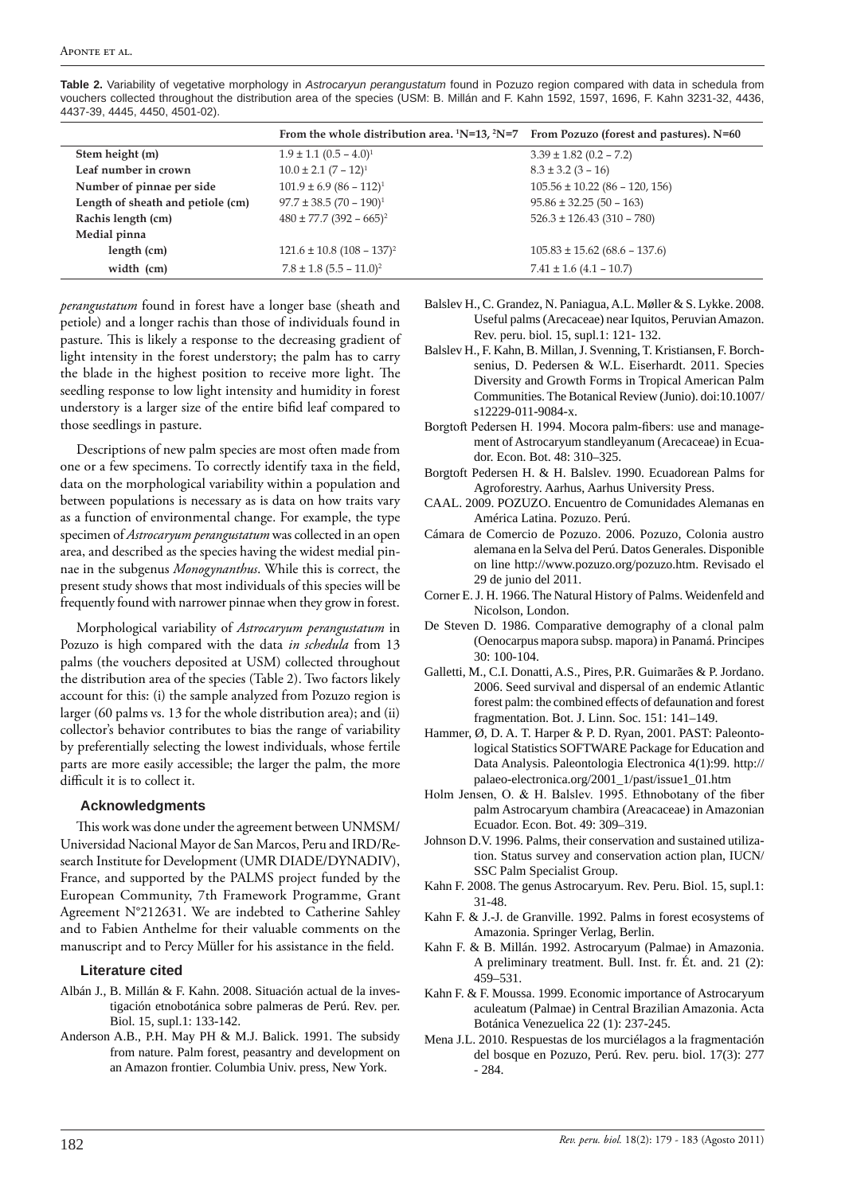|                                   | From the whole distribution area. ${}^{1}N=13, {}^{2}N=7$ | From Pozuzo (forest and pastures). N=60 |
|-----------------------------------|-----------------------------------------------------------|-----------------------------------------|
| Stem height (m)                   | $1.9 \pm 1.1 (0.5 - 4.0)^1$                               | $3.39 \pm 1.82$ (0.2 – 7.2)             |
| Leaf number in crown              | $10.0 \pm 2.1 (7 - 12)^1$                                 | $8.3 \pm 3.2 (3 - 16)$                  |
| Number of pinnae per side         | $101.9 \pm 6.9 (86 - 112)^1$                              | $105.56 \pm 10.22$ (86 – 120, 156)      |
| Length of sheath and petiole (cm) | $97.7 \pm 38.5 (70 - 190)^1$                              | $95.86 \pm 32.25(50 - 163)$             |
| Rachis length (cm)                | $480 \pm 77.7$ (392 – 665) <sup>2</sup>                   | $526.3 \pm 126.43$ (310 – 780)          |
| Medial pinna                      |                                                           |                                         |
| length (cm)                       | $121.6 \pm 10.8$ (108 – 137) <sup>2</sup>                 | $105.83 \pm 15.62 (68.6 - 137.6)$       |
| width (cm)                        | $7.8 \pm 1.8$ (5.5 – 11.0) <sup>2</sup>                   | $7.41 \pm 1.6$ (4.1 – 10.7)             |

**Table 2.** Variability of vegetative morphology in *Astrocaryun perangustatum* found in Pozuzo region compared with data in schedula from vouchers collected throughout the distribution area of the species (USM: B. Millán and F. Kahn 1592, 1597, 1696, F. Kahn 3231-32, 4436, 4437-39, 4445, 4450, 4501-02).

*perangustatum* found in forest have a longer base (sheath and petiole) and a longer rachis than those of individuals found in pasture. This is likely a response to the decreasing gradient of light intensity in the forest understory; the palm has to carry the blade in the highest position to receive more light. The seedling response to low light intensity and humidity in forest understory is a larger size of the entire bifid leaf compared to those seedlings in pasture.

Descriptions of new palm species are most often made from one or a few specimens. To correctly identify taxa in the field, data on the morphological variability within a population and between populations is necessary as is data on how traits vary as a function of environmental change. For example, the type specimen of *Astrocaryum perangustatum* was collected in an open area, and described as the species having the widest medial pinnae in the subgenus *Monogynanthus*. While this is correct, the present study shows that most individuals of this species will be frequently found with narrower pinnae when they grow in forest.

Morphological variability of *Astrocaryum perangustatum* in Pozuzo is high compared with the data *in schedula* from 13 palms (the vouchers deposited at USM) collected throughout the distribution area of the species (Table 2). Two factors likely account for this: (i) the sample analyzed from Pozuzo region is larger (60 palms vs. 13 for the whole distribution area); and (ii) collector's behavior contributes to bias the range of variability by preferentially selecting the lowest individuals, whose fertile parts are more easily accessible; the larger the palm, the more difficult it is to collect it.

# **Acknowledgments**

This work was done under the agreement between UNMSM/ Universidad Nacional Mayor de San Marcos, Peru and IRD/Research Institute for Development (UMR DIADE/DYNADIV), France, and supported by the PALMS project funded by the European Community, 7th Framework Programme, Grant Agreement N°212631. We are indebted to Catherine Sahley and to Fabien Anthelme for their valuable comments on the manuscript and to Percy Müller for his assistance in the field.

### **Literature cited**

- Albán J., B. Millán & F. Kahn. 2008. Situación actual de la investigación etnobotánica sobre palmeras de Perú. Rev. per. Biol. 15, supl.1: 133-142.
- Anderson A.B., P.H. May PH & M.J. Balick. 1991. The subsidy from nature. Palm forest, peasantry and development on an Amazon frontier. Columbia Univ. press, New York.
- Balslev H., C. Grandez, N. Paniagua, A.L. Møller & S. Lykke. 2008. Useful palms (Arecaceae) near Iquitos, Peruvian Amazon. Rev. peru. biol. 15, supl.1: 121- 132.
- Balslev H., F. Kahn, B. Millan, J. Svenning, T. Kristiansen, F. Borchsenius, D. Pedersen & W.L. Eiserhardt. 2011. Species Diversity and Growth Forms in Tropical American Palm Communities. The Botanical Review (Junio). doi:10.1007/ s12229-011-9084-x.
- Borgtoft Pedersen H. 1994. Mocora palm-fibers: use and management of Astrocaryum standleyanum (Arecaceae) in Ecuador. Econ. Bot. 48: 310–325.
- Borgtoft Pedersen H. & H. Balslev. 1990. Ecuadorean Palms for Agroforestry. Aarhus, Aarhus University Press.
- CAAL. 2009. POZUZO. Encuentro de Comunidades Alemanas en América Latina. Pozuzo. Perú.
- Cámara de Comercio de Pozuzo. 2006. Pozuzo, Colonia austro alemana en la Selva del Perú. Datos Generales. Disponible on line http://www.pozuzo.org/pozuzo.htm. Revisado el 29 de junio del 2011.
- Corner E. J. H. 1966. The Natural History of Palms. Weidenfeld and Nicolson, London.
- De Steven D. 1986. Comparative demography of a clonal palm (Oenocarpus mapora subsp. mapora) in Panamá. Principes 30: 100-104.
- Galletti, M., C.I. Donatti, A.S., Pires, P.R. Guimarães & P. Jordano. 2006. Seed survival and dispersal of an endemic Atlantic forest palm: the combined effects of defaunation and forest fragmentation. Bot. J. Linn. Soc. 151: 141–149.
- Hammer, Ø, D. A. T. Harper & P. D. Ryan, 2001. PAST: Paleontological Statistics SOFTWARE Package for Education and Data Analysis. Paleontologia Electronica 4(1):99. http:// palaeo-electronica.org/2001\_1/past/issue1\_01.htm
- Holm Jensen, O. & H. Balslev. 1995. Ethnobotany of the fiber palm Astrocaryum chambira (Areacaceae) in Amazonian Ecuador. Econ. Bot. 49: 309–319.
- Johnson D.V. 1996. Palms, their conservation and sustained utilization. Status survey and conservation action plan, IUCN/ SSC Palm Specialist Group.
- Kahn F. 2008. The genus Astrocaryum. Rev. Peru. Biol. 15, supl.1: 31-48.
- Kahn F. & J.-J. de Granville. 1992. Palms in forest ecosystems of Amazonia. Springer Verlag, Berlin.
- Kahn F. & B. Millán. 1992. Astrocaryum (Palmae) in Amazonia. A preliminary treatment. Bull. Inst. fr. Ét. and. 21 (2): 459–531.
- Kahn F. & F. Moussa. 1999. Economic importance of Astrocaryum aculeatum (Palmae) in Central Brazilian Amazonia. Acta Botánica Venezuelica 22 (1): 237-245.
- Mena J.L. 2010. Respuestas de los murciélagos a la fragmentación del bosque en Pozuzo, Perú. Rev. peru. biol. 17(3): 277 - 284.